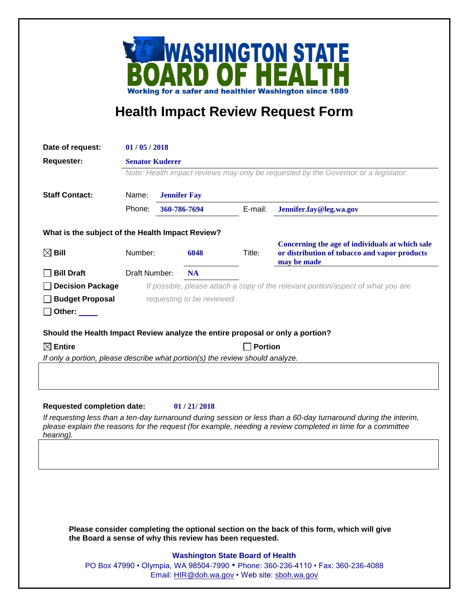

## **Health Impact Review Request Form**

| Date of request:                                                                                                                                                                                                                | 01/05/2018                                                                                                                 |                     |              |         |                                                                                                                 |  |
|---------------------------------------------------------------------------------------------------------------------------------------------------------------------------------------------------------------------------------|----------------------------------------------------------------------------------------------------------------------------|---------------------|--------------|---------|-----------------------------------------------------------------------------------------------------------------|--|
| <b>Requester:</b>                                                                                                                                                                                                               | <b>Senator Kuderer</b><br>Note: Health impact reviews may only be requested by the Governor or a legislator.               |                     |              |         |                                                                                                                 |  |
|                                                                                                                                                                                                                                 |                                                                                                                            |                     |              |         |                                                                                                                 |  |
| <b>Staff Contact:</b>                                                                                                                                                                                                           | Name:                                                                                                                      | <b>Jennifer Fay</b> |              |         |                                                                                                                 |  |
|                                                                                                                                                                                                                                 | Phone:                                                                                                                     |                     |              |         |                                                                                                                 |  |
|                                                                                                                                                                                                                                 |                                                                                                                            |                     | 360-786-7694 | E-mail: | Jennifer.fay@leg.wa.gov                                                                                         |  |
| What is the subject of the Health Impact Review?                                                                                                                                                                                |                                                                                                                            |                     |              |         |                                                                                                                 |  |
| $\boxtimes$ Bill                                                                                                                                                                                                                | Number:                                                                                                                    |                     | 6048         | Title:  | Concerning the age of individuals at which sale<br>or distribution of tobacco and vapor products<br>may be made |  |
| <b>Bill Draft</b>                                                                                                                                                                                                               | Draft Number:                                                                                                              |                     | <b>NA</b>    |         |                                                                                                                 |  |
| <b>Decision Package</b>                                                                                                                                                                                                         | If possible, please attach a copy of the relevant portion/aspect of what you are                                           |                     |              |         |                                                                                                                 |  |
| <b>Budget Proposal</b>                                                                                                                                                                                                          | requesting to be reviewed.                                                                                                 |                     |              |         |                                                                                                                 |  |
| Other: $\_\_$                                                                                                                                                                                                                   |                                                                                                                            |                     |              |         |                                                                                                                 |  |
|                                                                                                                                                                                                                                 |                                                                                                                            |                     |              |         |                                                                                                                 |  |
| Should the Health Impact Review analyze the entire proposal or only a portion?                                                                                                                                                  |                                                                                                                            |                     |              |         |                                                                                                                 |  |
| $\boxtimes$ Entire                                                                                                                                                                                                              | <b>Portion</b><br>If only a portion, please describe what portion(s) the review should analyze.                            |                     |              |         |                                                                                                                 |  |
|                                                                                                                                                                                                                                 |                                                                                                                            |                     |              |         |                                                                                                                 |  |
|                                                                                                                                                                                                                                 |                                                                                                                            |                     |              |         |                                                                                                                 |  |
|                                                                                                                                                                                                                                 |                                                                                                                            |                     |              |         |                                                                                                                 |  |
| <b>Requested completion date:</b>                                                                                                                                                                                               |                                                                                                                            |                     | 01/21/2018   |         |                                                                                                                 |  |
| If requesting less than a ten-day turnaround during session or less than a 60-day turnaround during the interim,<br>please explain the reasons for the request (for example, needing a review completed in time for a committee |                                                                                                                            |                     |              |         |                                                                                                                 |  |
| hearing).                                                                                                                                                                                                                       |                                                                                                                            |                     |              |         |                                                                                                                 |  |
|                                                                                                                                                                                                                                 |                                                                                                                            |                     |              |         |                                                                                                                 |  |
|                                                                                                                                                                                                                                 |                                                                                                                            |                     |              |         |                                                                                                                 |  |
|                                                                                                                                                                                                                                 |                                                                                                                            |                     |              |         |                                                                                                                 |  |
|                                                                                                                                                                                                                                 |                                                                                                                            |                     |              |         |                                                                                                                 |  |
|                                                                                                                                                                                                                                 |                                                                                                                            |                     |              |         |                                                                                                                 |  |
|                                                                                                                                                                                                                                 |                                                                                                                            |                     |              |         |                                                                                                                 |  |
| Please consider completing the optional section on the back of this form, which will give<br>the Board a sense of why this review has been requested.                                                                           |                                                                                                                            |                     |              |         |                                                                                                                 |  |
|                                                                                                                                                                                                                                 |                                                                                                                            |                     |              |         |                                                                                                                 |  |
|                                                                                                                                                                                                                                 | <b>Washington State Board of Health</b><br>PO Box 47990 • Olympia, WA 98504-7990 • Phone: 360-236-4110 • Fax: 360-236-4088 |                     |              |         |                                                                                                                 |  |
|                                                                                                                                                                                                                                 | Email: HIR@doh.wa.gov • Web site: sboh.wa.gov                                                                              |                     |              |         |                                                                                                                 |  |